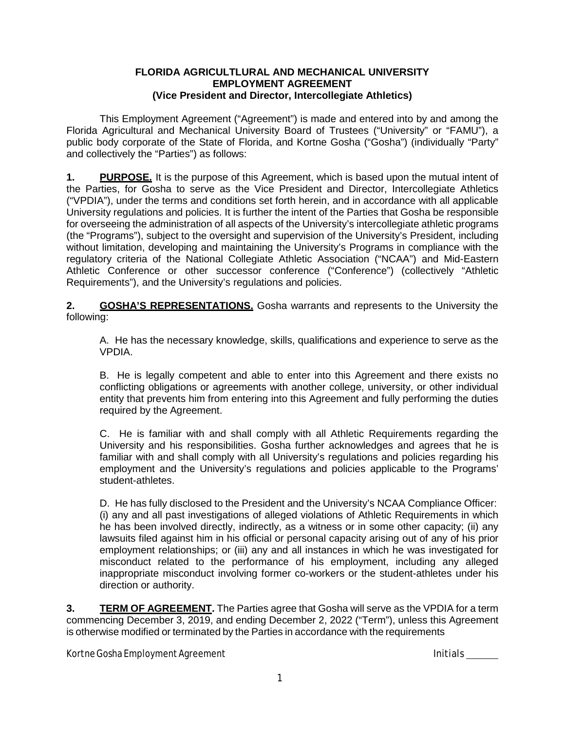## **FLORIDA AGRICULTLURAL AND MECHANICAL UNIVERSITY EMPLOYMENT AGREEMENT (Vice President and Director, Intercollegiate Athletics)**

This Employment Agreement ("Agreement") is made and entered into by and among the Florida Agricultural and Mechanical University Board of Trustees ("University" or "FAMU"), a public body corporate of the State of Florida, and Kortne Gosha ("Gosha") (individually "Party" and collectively the "Parties") as follows:

**1. PURPOSE.** It is the purpose of this Agreement, which is based upon the mutual intent of the Parties, for Gosha to serve as the Vice President and Director, Intercollegiate Athletics ("VPDIA"), under the terms and conditions set forth herein, and in accordance with all applicable University regulations and policies. It is further the intent of the Parties that Gosha be responsible for overseeing the administration of all aspects of the University's intercollegiate athletic programs (the "Programs"), subject to the oversight and supervision of the University's President, including without limitation, developing and maintaining the University's Programs in compliance with the regulatory criteria of the National Collegiate Athletic Association ("NCAA") and Mid-Eastern Athletic Conference or other successor conference ("Conference") (collectively "Athletic Requirements"), and the University's regulations and policies.

**2. GOSHA'S REPRESENTATIONS.** Gosha warrants and represents to the University the following:

A. He has the necessary knowledge, skills, qualifications and experience to serve as the VPDIA.

B. He is legally competent and able to enter into this Agreement and there exists no conflicting obligations or agreements with another college, university, or other individual entity that prevents him from entering into this Agreement and fully performing the duties required by the Agreement.

C. He is familiar with and shall comply with all Athletic Requirements regarding the University and his responsibilities. Gosha further acknowledges and agrees that he is familiar with and shall comply with all University's regulations and policies regarding his employment and the University's regulations and policies applicable to the Programs' student-athletes.

D. He has fully disclosed to the President and the University's NCAA Compliance Officer: (i) any and all past investigations of alleged violations of Athletic Requirements in which he has been involved directly, indirectly, as a witness or in some other capacity; (ii) any lawsuits filed against him in his official or personal capacity arising out of any of his prior employment relationships; or (iii) any and all instances in which he was investigated for misconduct related to the performance of his employment, including any alleged inappropriate misconduct involving former co-workers or the student-athletes under his direction or authority.

**3. TERM OF AGREEMENT.** The Parties agree that Gosha will serve as the VPDIA for a term commencing December 3, 2019, and ending December 2, 2022 ("Term"), unless this Agreement is otherwise modified or terminated by the Parties in accordance with the requirements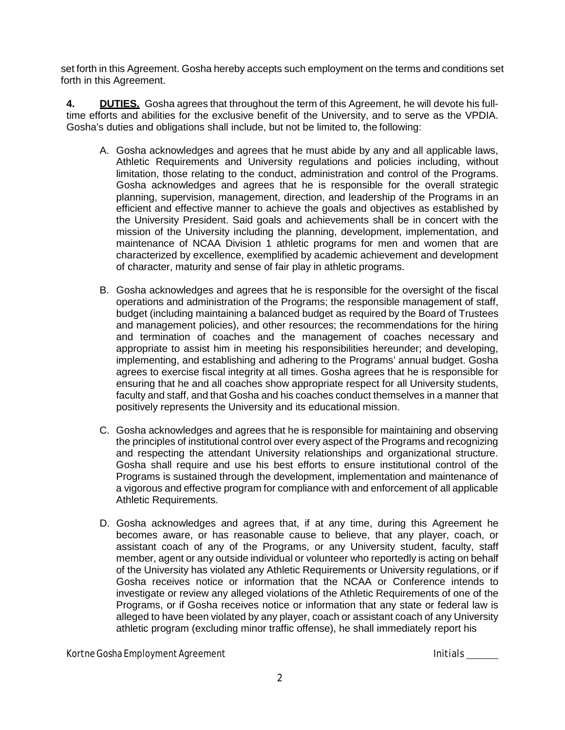set forth in this Agreement. Gosha hereby accepts such employment on the terms and conditions set forth in this Agreement.

**4. DUTIES.** Gosha agrees that throughout the term of this Agreement, he will devote his fulltime efforts and abilities for the exclusive benefit of the University, and to serve as the VPDIA. Gosha's duties and obligations shall include, but not be limited to, the following:

- A. Gosha acknowledges and agrees that he must abide by any and all applicable laws, Athletic Requirements and University regulations and policies including, without limitation, those relating to the conduct, administration and control of the Programs. Gosha acknowledges and agrees that he is responsible for the overall strategic planning, supervision, management, direction, and leadership of the Programs in an efficient and effective manner to achieve the goals and objectives as established by the University President. Said goals and achievements shall be in concert with the mission of the University including the planning, development, implementation, and maintenance of NCAA Division 1 athletic programs for men and women that are characterized by excellence, exemplified by academic achievement and development of character, maturity and sense of fair play in athletic programs.
- B. Gosha acknowledges and agrees that he is responsible for the oversight of the fiscal operations and administration of the Programs; the responsible management of staff, budget (including maintaining a balanced budget as required by the Board of Trustees and management policies), and other resources; the recommendations for the hiring and termination of coaches and the management of coaches necessary and appropriate to assist him in meeting his responsibilities hereunder; and developing, implementing, and establishing and adhering to the Programs' annual budget. Gosha agrees to exercise fiscal integrity at all times. Gosha agrees that he is responsible for ensuring that he and all coaches show appropriate respect for all University students, faculty and staff, and that Gosha and his coaches conduct themselves in a manner that positively represents the University and its educational mission.
- C. Gosha acknowledges and agrees that he is responsible for maintaining and observing the principles of institutional control over every aspect of the Programs and recognizing and respecting the attendant University relationships and organizational structure. Gosha shall require and use his best efforts to ensure institutional control of the Programs is sustained through the development, implementation and maintenance of a vigorous and effective program for compliance with and enforcement of all applicable Athletic Requirements.
- D. Gosha acknowledges and agrees that, if at any time, during this Agreement he becomes aware, or has reasonable cause to believe, that any player, coach, or assistant coach of any of the Programs, or any University student, faculty, staff member, agent or any outside individual or volunteer who reportedly is acting on behalf of the University has violated any Athletic Requirements or University regulations, or if Gosha receives notice or information that the NCAA or Conference intends to investigate or review any alleged violations of the Athletic Requirements of one of the Programs, or if Gosha receives notice or information that any state or federal law is alleged to have been violated by any player, coach or assistant coach of any University athletic program (excluding minor traffic offense), he shall immediately report his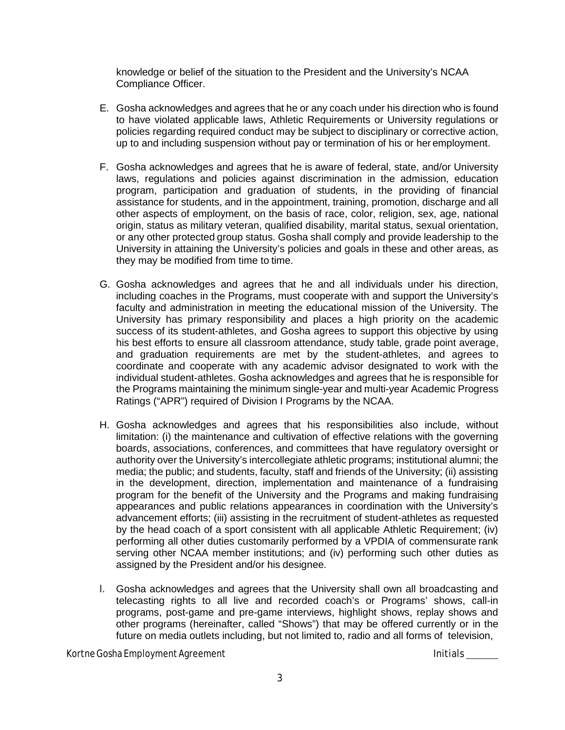knowledge or belief of the situation to the President and the University's NCAA Compliance Officer.

- E. Gosha acknowledges and agrees that he or any coach under his direction who is found to have violated applicable laws, Athletic Requirements or University regulations or policies regarding required conduct may be subject to disciplinary or corrective action, up to and including suspension without pay or termination of his or her employment.
- F. Gosha acknowledges and agrees that he is aware of federal, state, and/or University laws, regulations and policies against discrimination in the admission, education program, participation and graduation of students, in the providing of financial assistance for students, and in the appointment, training, promotion, discharge and all other aspects of employment, on the basis of race, color, religion, sex, age, national origin, status as military veteran, qualified disability, marital status, sexual orientation, or any other protected group status. Gosha shall comply and provide leadership to the University in attaining the University's policies and goals in these and other areas, as they may be modified from time to time.
- G. Gosha acknowledges and agrees that he and all individuals under his direction, including coaches in the Programs, must cooperate with and support the University's faculty and administration in meeting the educational mission of the University. The University has primary responsibility and places a high priority on the academic success of its student-athletes, and Gosha agrees to support this objective by using his best efforts to ensure all classroom attendance, study table, grade point average, and graduation requirements are met by the student-athletes, and agrees to coordinate and cooperate with any academic advisor designated to work with the individual student-athletes. Gosha acknowledges and agrees that he is responsible for the Programs maintaining the minimum single-year and multi-year Academic Progress Ratings ("APR") required of Division I Programs by the NCAA.
- H. Gosha acknowledges and agrees that his responsibilities also include, without limitation: (i) the maintenance and cultivation of effective relations with the governing boards, associations, conferences, and committees that have regulatory oversight or authority over the University's intercollegiate athletic programs; institutional alumni; the media; the public; and students, faculty, staff and friends of the University; (ii) assisting in the development, direction, implementation and maintenance of a fundraising program for the benefit of the University and the Programs and making fundraising appearances and public relations appearances in coordination with the University's advancement efforts; (iii) assisting in the recruitment of student-athletes as requested by the head coach of a sport consistent with all applicable Athletic Requirement; (iv) performing all other duties customarily performed by a VPDIA of commensurate rank serving other NCAA member institutions; and (iv) performing such other duties as assigned by the President and/or his designee.
- I. Gosha acknowledges and agrees that the University shall own all broadcasting and telecasting rights to all live and recorded coach's or Programs' shows, call-in programs, post-game and pre-game interviews, highlight shows, replay shows and other programs (hereinafter, called "Shows") that may be offered currently or in the future on media outlets including, but not limited to, radio and all forms of television,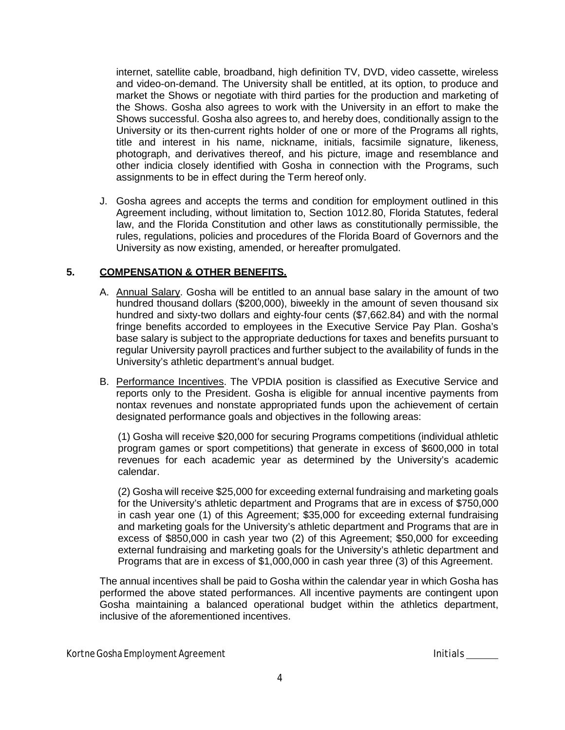internet, satellite cable, broadband, high definition TV, DVD, video cassette, wireless and video-on-demand. The University shall be entitled, at its option, to produce and market the Shows or negotiate with third parties for the production and marketing of the Shows. Gosha also agrees to work with the University in an effort to make the Shows successful. Gosha also agrees to, and hereby does, conditionally assign to the University or its then-current rights holder of one or more of the Programs all rights, title and interest in his name, nickname, initials, facsimile signature, likeness, photograph, and derivatives thereof, and his picture, image and resemblance and other indicia closely identified with Gosha in connection with the Programs, such assignments to be in effect during the Term hereof only.

J. Gosha agrees and accepts the terms and condition for employment outlined in this Agreement including, without limitation to, Section 1012.80, Florida Statutes, federal law, and the Florida Constitution and other laws as constitutionally permissible, the rules, regulations, policies and procedures of the Florida Board of Governors and the University as now existing, amended, or hereafter promulgated.

## **5. COMPENSATION & OTHER BENEFITS.**

- A. Annual Salary. Gosha will be entitled to an annual base salary in the amount of two hundred thousand dollars (\$200,000), biweekly in the amount of seven thousand six hundred and sixty-two dollars and eighty-four cents (\$7,662.84) and with the normal fringe benefits accorded to employees in the Executive Service Pay Plan. Gosha's base salary is subject to the appropriate deductions for taxes and benefits pursuant to regular University payroll practices and further subject to the availability of funds in the University's athletic department's annual budget.
- B. Performance Incentives. The VPDIA position is classified as Executive Service and reports only to the President. Gosha is eligible for annual incentive payments from nontax revenues and nonstate appropriated funds upon the achievement of certain designated performance goals and objectives in the following areas:

(1) Gosha will receive \$20,000 for securing Programs competitions (individual athletic program games or sport competitions) that generate in excess of \$600,000 in total revenues for each academic year as determined by the University's academic calendar.

(2) Gosha will receive \$25,000 for exceeding external fundraising and marketing goals for the University's athletic department and Programs that are in excess of \$750,000 in cash year one (1) of this Agreement; \$35,000 for exceeding external fundraising and marketing goals for the University's athletic department and Programs that are in excess of \$850,000 in cash year two (2) of this Agreement; \$50,000 for exceeding external fundraising and marketing goals for the University's athletic department and Programs that are in excess of \$1,000,000 in cash year three (3) of this Agreement.

The annual incentives shall be paid to Gosha within the calendar year in which Gosha has performed the above stated performances. All incentive payments are contingent upon Gosha maintaining a balanced operational budget within the athletics department, inclusive of the aforementioned incentives.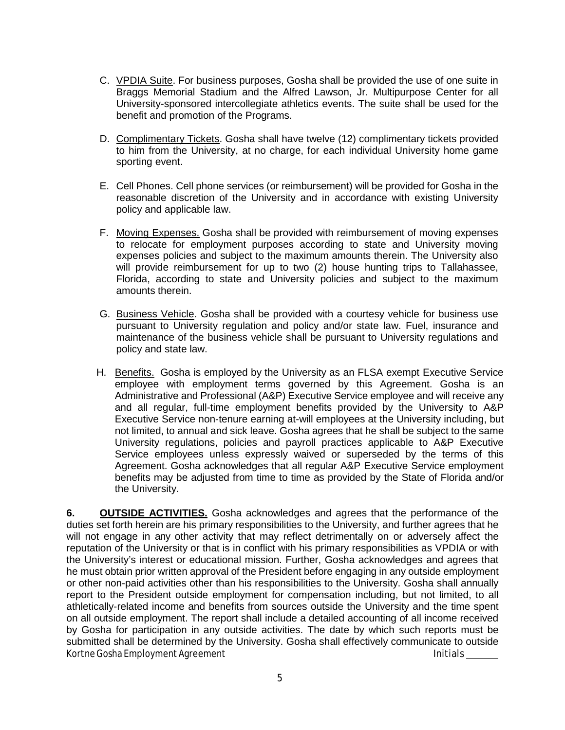- C. VPDIA Suite. For business purposes, Gosha shall be provided the use of one suite in Braggs Memorial Stadium and the Alfred Lawson, Jr. Multipurpose Center for all University-sponsored intercollegiate athletics events. The suite shall be used for the benefit and promotion of the Programs.
- D. Complimentary Tickets. Gosha shall have twelve (12) complimentary tickets provided to him from the University, at no charge, for each individual University home game sporting event.
- E. Cell Phones. Cell phone services (or reimbursement) will be provided for Gosha in the reasonable discretion of the University and in accordance with existing University policy and applicable law.
- F. Moving Expenses. Gosha shall be provided with reimbursement of moving expenses to relocate for employment purposes according to state and University moving expenses policies and subject to the maximum amounts therein. The University also will provide reimbursement for up to two (2) house hunting trips to Tallahassee, Florida, according to state and University policies and subject to the maximum amounts therein.
- G. Business Vehicle. Gosha shall be provided with a courtesy vehicle for business use pursuant to University regulation and policy and/or state law. Fuel, insurance and maintenance of the business vehicle shall be pursuant to University regulations and policy and state law.
- H. Benefits. Gosha is employed by the University as an FLSA exempt Executive Service employee with employment terms governed by this Agreement. Gosha is an Administrative and Professional (A&P) Executive Service employee and will receive any and all regular, full-time employment benefits provided by the University to A&P Executive Service non-tenure earning at-will employees at the University including, but not limited, to annual and sick leave. Gosha agrees that he shall be subject to the same University regulations, policies and payroll practices applicable to A&P Executive Service employees unless expressly waived or superseded by the terms of this Agreement. Gosha acknowledges that all regular A&P Executive Service employment benefits may be adjusted from time to time as provided by the State of Florida and/or the University.

Kortne Gosha Employment Agreement Initials and Initials Initials **6. OUTSIDE ACTIVITIES.** Gosha acknowledges and agrees that the performance of the duties set forth herein are his primary responsibilities to the University, and further agrees that he will not engage in any other activity that may reflect detrimentally on or adversely affect the reputation of the University or that is in conflict with his primary responsibilities as VPDIA or with the University's interest or educational mission. Further, Gosha acknowledges and agrees that he must obtain prior written approval of the President before engaging in any outside employment or other non-paid activities other than his responsibilities to the University. Gosha shall annually report to the President outside employment for compensation including, but not limited, to all athletically-related income and benefits from sources outside the University and the time spent on all outside employment. The report shall include a detailed accounting of all income received by Gosha for participation in any outside activities. The date by which such reports must be submitted shall be determined by the University. Gosha shall effectively communicate to outside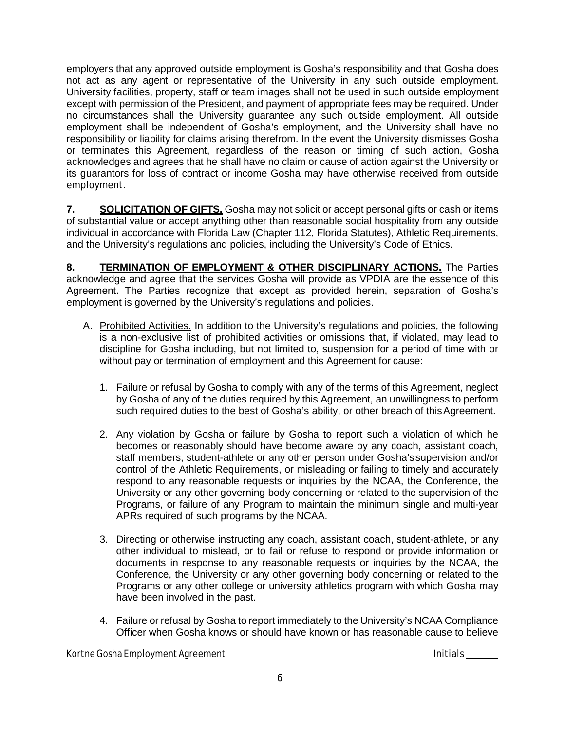employers that any approved outside employment is Gosha's responsibility and that Gosha does not act as any agent or representative of the University in any such outside employment. University facilities, property, staff or team images shall not be used in such outside employment except with permission of the President, and payment of appropriate fees may be required. Under no circumstances shall the University guarantee any such outside employment. All outside employment shall be independent of Gosha's employment, and the University shall have no responsibility or liability for claims arising therefrom. In the event the University dismisses Gosha or terminates this Agreement, regardless of the reason or timing of such action, Gosha acknowledges and agrees that he shall have no claim or cause of action against the University or its guarantors for loss of contract or income Gosha may have otherwise received from outside employment.

**7. SOLICITATION OF GIFTS.** Gosha may not solicit or accept personal gifts or cash or items of substantial value or accept anything other than reasonable social hospitality from any outside individual in accordance with Florida Law (Chapter 112, Florida Statutes), Athletic Requirements, and the University's regulations and policies, including the University's Code of Ethics.

**8. TERMINATION OF EMPLOYMENT & OTHER DISCIPLINARY ACTIONS.** The Parties acknowledge and agree that the services Gosha will provide as VPDIA are the essence of this Agreement. The Parties recognize that except as provided herein, separation of Gosha's employment is governed by the University's regulations and policies.

- A. Prohibited Activities. In addition to the University's regulations and policies, the following is a non-exclusive list of prohibited activities or omissions that, if violated, may lead to discipline for Gosha including, but not limited to, suspension for a period of time with or without pay or termination of employment and this Agreement for cause:
	- 1. Failure or refusal by Gosha to comply with any of the terms of this Agreement, neglect by Gosha of any of the duties required by this Agreement, an unwillingness to perform such required duties to the best of Gosha's ability, or other breach of this Agreement.
	- 2. Any violation by Gosha or failure by Gosha to report such a violation of which he becomes or reasonably should have become aware by any coach, assistant coach, staff members, student-athlete or any other person under Gosha'ssupervision and/or control of the Athletic Requirements, or misleading or failing to timely and accurately respond to any reasonable requests or inquiries by the NCAA, the Conference, the University or any other governing body concerning or related to the supervision of the Programs, or failure of any Program to maintain the minimum single and multi-year APRs required of such programs by the NCAA.
	- 3. Directing or otherwise instructing any coach, assistant coach, student-athlete, or any other individual to mislead, or to fail or refuse to respond or provide information or documents in response to any reasonable requests or inquiries by the NCAA, the Conference, the University or any other governing body concerning or related to the Programs or any other college or university athletics program with which Gosha may have been involved in the past.
	- 4. Failure or refusal by Gosha to report immediately to the University's NCAA Compliance Officer when Gosha knows or should have known or has reasonable cause to believe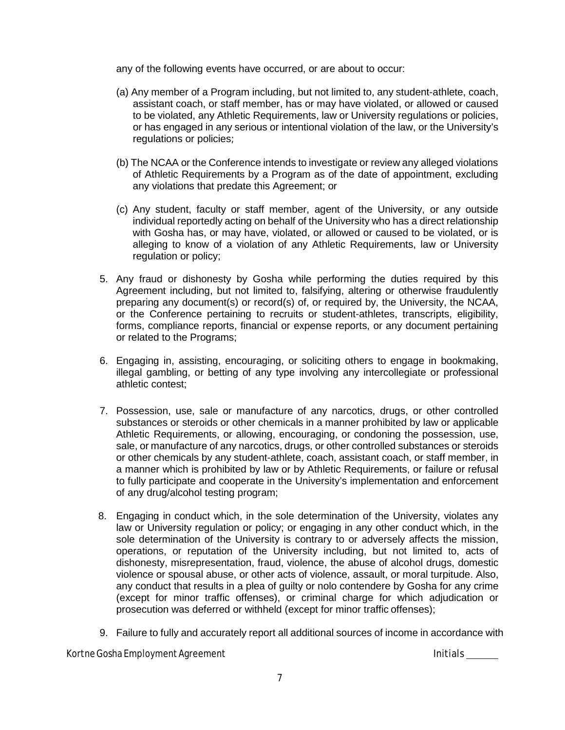any of the following events have occurred, or are about to occur:

- (a) Any member of a Program including, but not limited to, any student-athlete, coach, assistant coach, or staff member, has or may have violated, or allowed or caused to be violated, any Athletic Requirements, law or University regulations or policies, or has engaged in any serious or intentional violation of the law, or the University's regulations or policies;
- (b) The NCAA or the Conference intends to investigate or review any alleged violations of Athletic Requirements by a Program as of the date of appointment, excluding any violations that predate this Agreement; or
- (c) Any student, faculty or staff member, agent of the University, or any outside individual reportedly acting on behalf of the University who has a direct relationship with Gosha has, or may have, violated, or allowed or caused to be violated, or is alleging to know of a violation of any Athletic Requirements, law or University regulation or policy;
- 5. Any fraud or dishonesty by Gosha while performing the duties required by this Agreement including, but not limited to, falsifying, altering or otherwise fraudulently preparing any document(s) or record(s) of, or required by, the University, the NCAA, or the Conference pertaining to recruits or student-athletes, transcripts, eligibility, forms, compliance reports, financial or expense reports, or any document pertaining or related to the Programs;
- 6. Engaging in, assisting, encouraging, or soliciting others to engage in bookmaking, illegal gambling, or betting of any type involving any intercollegiate or professional athletic contest;
- 7. Possession, use, sale or manufacture of any narcotics, drugs, or other controlled substances or steroids or other chemicals in a manner prohibited by law or applicable Athletic Requirements, or allowing, encouraging, or condoning the possession, use, sale, or manufacture of any narcotics, drugs, or other controlled substances or steroids or other chemicals by any student-athlete, coach, assistant coach, or staff member, in a manner which is prohibited by law or by Athletic Requirements, or failure or refusal to fully participate and cooperate in the University's implementation and enforcement of any drug/alcohol testing program;
- 8. Engaging in conduct which, in the sole determination of the University, violates any law or University regulation or policy; or engaging in any other conduct which, in the sole determination of the University is contrary to or adversely affects the mission, operations, or reputation of the University including, but not limited to, acts of dishonesty, misrepresentation, fraud, violence, the abuse of alcohol drugs, domestic violence or spousal abuse, or other acts of violence, assault, or moral turpitude. Also, any conduct that results in a plea of guilty or nolo contendere by Gosha for any crime (except for minor traffic offenses), or criminal charge for which adjudication or prosecution was deferred or withheld (except for minor traffic offenses);
- 9. Failure to fully and accurately report all additional sources of income in accordance with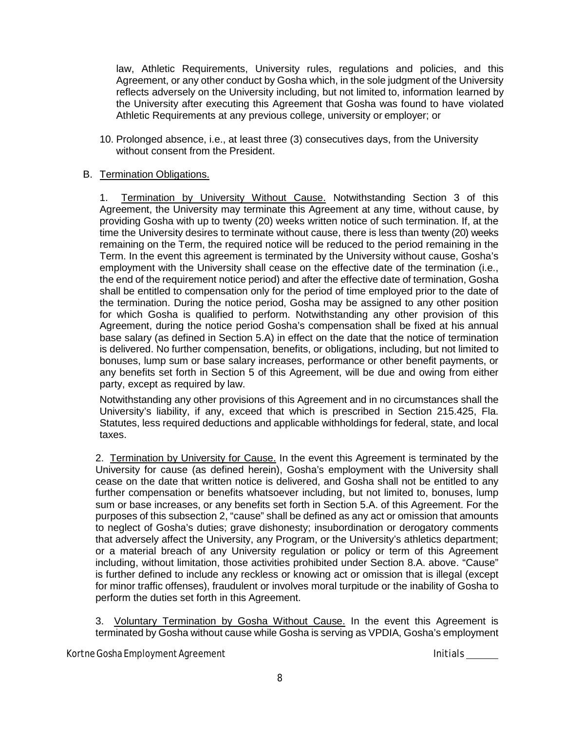law, Athletic Requirements, University rules, regulations and policies, and this Agreement, or any other conduct by Gosha which, in the sole judgment of the University reflects adversely on the University including, but not limited to, information learned by the University after executing this Agreement that Gosha was found to have violated Athletic Requirements at any previous college, university or employer; or

10. Prolonged absence, i.e., at least three (3) consecutives days, from the University without consent from the President.

## B. Termination Obligations.

1. Termination by University Without Cause. Notwithstanding Section 3 of this Agreement, the University may terminate this Agreement at any time, without cause, by providing Gosha with up to twenty (20) weeks written notice of such termination. If, at the time the University desires to terminate without cause, there is less than twenty (20) weeks remaining on the Term, the required notice will be reduced to the period remaining in the Term. In the event this agreement is terminated by the University without cause, Gosha's employment with the University shall cease on the effective date of the termination (i.e., the end of the requirement notice period) and after the effective date of termination, Gosha shall be entitled to compensation only for the period of time employed prior to the date of the termination. During the notice period, Gosha may be assigned to any other position for which Gosha is qualified to perform. Notwithstanding any other provision of this Agreement, during the notice period Gosha's compensation shall be fixed at his annual base salary (as defined in Section 5.A) in effect on the date that the notice of termination is delivered. No further compensation, benefits, or obligations, including, but not limited to bonuses, lump sum or base salary increases, performance or other benefit payments, or any benefits set forth in Section 5 of this Agreement, will be due and owing from either party, except as required by law.

Notwithstanding any other provisions of this Agreement and in no circumstances shall the University's liability, if any, exceed that which is prescribed in Section 215.425, Fla. Statutes, less required deductions and applicable withholdings for federal, state, and local taxes.

2. Termination by University for Cause. In the event this Agreement is terminated by the University for cause (as defined herein), Gosha's employment with the University shall cease on the date that written notice is delivered, and Gosha shall not be entitled to any further compensation or benefits whatsoever including, but not limited to, bonuses, lump sum or base increases, or any benefits set forth in Section 5.A. of this Agreement. For the purposes of this subsection 2, "cause" shall be defined as any act or omission that amounts to neglect of Gosha's duties; grave dishonesty; insubordination or derogatory comments that adversely affect the University, any Program, or the University's athletics department; or a material breach of any University regulation or policy or term of this Agreement including, without limitation, those activities prohibited under Section 8.A. above. "Cause" is further defined to include any reckless or knowing act or omission that is illegal (except for minor traffic offenses), fraudulent or involves moral turpitude or the inability of Gosha to perform the duties set forth in this Agreement.

3. Voluntary Termination by Gosha Without Cause. In the event this Agreement is terminated by Gosha without cause while Gosha is serving as VPDIA, Gosha's employment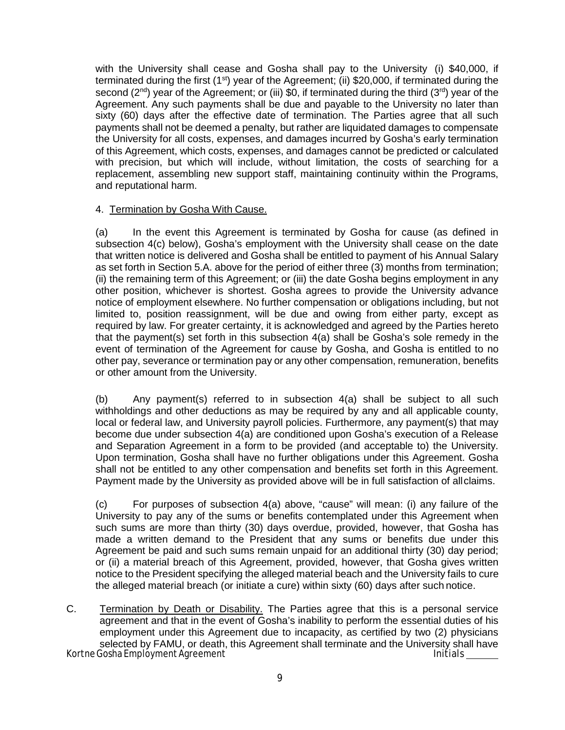with the University shall cease and Gosha shall pay to the University (i) \$40,000, if terminated during the first  $(1^{st})$  year of the Agreement; (ii) \$20,000, if terminated during the second  $(2^{nd})$  year of the Agreement; or (iii) \$0, if terminated during the third  $(3^{rd})$  year of the Agreement. Any such payments shall be due and payable to the University no later than sixty (60) days after the effective date of termination. The Parties agree that all such payments shall not be deemed a penalty, but rather are liquidated damages to compensate the University for all costs, expenses, and damages incurred by Gosha's early termination of this Agreement, which costs, expenses, and damages cannot be predicted or calculated with precision, but which will include, without limitation, the costs of searching for a replacement, assembling new support staff, maintaining continuity within the Programs, and reputational harm.

## 4. Termination by Gosha With Cause.

(a) In the event this Agreement is terminated by Gosha for cause (as defined in subsection 4(c) below), Gosha's employment with the University shall cease on the date that written notice is delivered and Gosha shall be entitled to payment of his Annual Salary as set forth in Section 5.A. above for the period of either three (3) months from termination; (ii) the remaining term of this Agreement; or (iii) the date Gosha begins employment in any other position, whichever is shortest. Gosha agrees to provide the University advance notice of employment elsewhere. No further compensation or obligations including, but not limited to, position reassignment, will be due and owing from either party, except as required by law. For greater certainty, it is acknowledged and agreed by the Parties hereto that the payment(s) set forth in this subsection 4(a) shall be Gosha's sole remedy in the event of termination of the Agreement for cause by Gosha, and Gosha is entitled to no other pay, severance or termination pay or any other compensation, remuneration, benefits or other amount from the University.

(b) Any payment(s) referred to in subsection 4(a) shall be subject to all such withholdings and other deductions as may be required by any and all applicable county, local or federal law, and University payroll policies. Furthermore, any payment(s) that may become due under subsection 4(a) are conditioned upon Gosha's execution of a Release and Separation Agreement in a form to be provided (and acceptable to) the University. Upon termination, Gosha shall have no further obligations under this Agreement. Gosha shall not be entitled to any other compensation and benefits set forth in this Agreement. Payment made by the University as provided above will be in full satisfaction of allclaims.

(c) For purposes of subsection 4(a) above, "cause" will mean: (i) any failure of the University to pay any of the sums or benefits contemplated under this Agreement when such sums are more than thirty (30) days overdue, provided, however, that Gosha has made a written demand to the President that any sums or benefits due under this Agreement be paid and such sums remain unpaid for an additional thirty (30) day period; or (ii) a material breach of this Agreement, provided, however, that Gosha gives written notice to the President specifying the alleged material beach and the University fails to cure the alleged material breach (or initiate a cure) within sixty (60) days after such notice.

Kortne Gosha Employment Agreement Initials and Initials and Initials and Initials C. Termination by Death or Disability. The Parties agree that this is a personal service agreement and that in the event of Gosha's inability to perform the essential duties of his employment under this Agreement due to incapacity, as certified by two (2) physicians selected by FAMU, or death, this Agreement shall terminate and the University shall have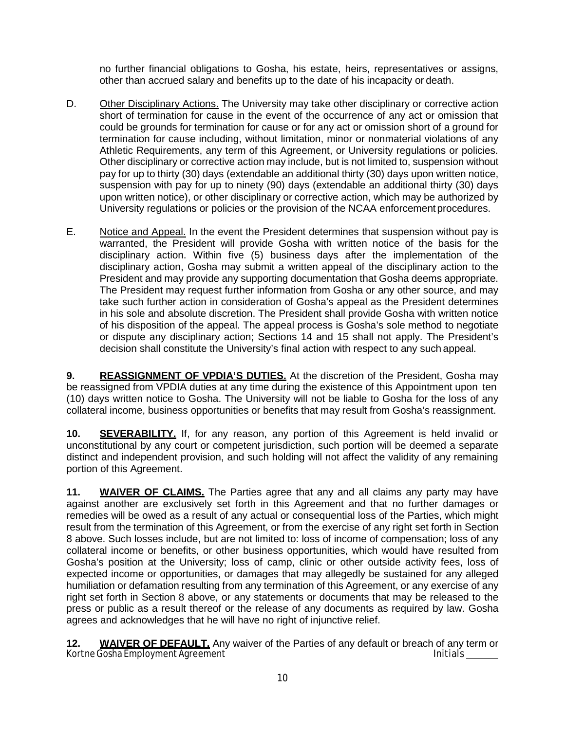no further financial obligations to Gosha, his estate, heirs, representatives or assigns, other than accrued salary and benefits up to the date of his incapacity or death.

- D. Other Disciplinary Actions. The University may take other disciplinary or corrective action short of termination for cause in the event of the occurrence of any act or omission that could be grounds for termination for cause or for any act or omission short of a ground for termination for cause including, without limitation, minor or nonmaterial violations of any Athletic Requirements, any term of this Agreement, or University regulations or policies. Other disciplinary or corrective action may include, but is not limited to, suspension without pay for up to thirty (30) days (extendable an additional thirty (30) days upon written notice, suspension with pay for up to ninety (90) days (extendable an additional thirty (30) days upon written notice), or other disciplinary or corrective action, which may be authorized by University regulations or policies or the provision of the NCAA enforcement procedures.
- E. Notice and Appeal. In the event the President determines that suspension without pay is warranted, the President will provide Gosha with written notice of the basis for the disciplinary action. Within five (5) business days after the implementation of the disciplinary action, Gosha may submit a written appeal of the disciplinary action to the President and may provide any supporting documentation that Gosha deems appropriate. The President may request further information from Gosha or any other source, and may take such further action in consideration of Gosha's appeal as the President determines in his sole and absolute discretion. The President shall provide Gosha with written notice of his disposition of the appeal. The appeal process is Gosha's sole method to negotiate or dispute any disciplinary action; Sections 14 and 15 shall not apply. The President's decision shall constitute the University's final action with respect to any such appeal.

**9. REASSIGNMENT OF VPDIA'S DUTIES.** At the discretion of the President, Gosha may be reassigned from VPDIA duties at any time during the existence of this Appointment upon ten (10) days written notice to Gosha. The University will not be liable to Gosha for the loss of any collateral income, business opportunities or benefits that may result from Gosha's reassignment.

**10. SEVERABILITY.** If, for any reason, any portion of this Agreement is held invalid or unconstitutional by any court or competent jurisdiction, such portion will be deemed a separate distinct and independent provision, and such holding will not affect the validity of any remaining portion of this Agreement.

**11. WAIVER OF CLAIMS.** The Parties agree that any and all claims any party may have against another are exclusively set forth in this Agreement and that no further damages or remedies will be owed as a result of any actual or consequential loss of the Parties, which might result from the termination of this Agreement, or from the exercise of any right set forth in Section 8 above. Such losses include, but are not limited to: loss of income of compensation; loss of any collateral income or benefits, or other business opportunities, which would have resulted from Gosha's position at the University; loss of camp, clinic or other outside activity fees, loss of expected income or opportunities, or damages that may allegedly be sustained for any alleged humiliation or defamation resulting from any termination of this Agreement, or any exercise of any right set forth in Section 8 above, or any statements or documents that may be released to the press or public as a result thereof or the release of any documents as required by law. Gosha agrees and acknowledges that he will have no right of injunctive relief.

Kortne Gosha Employment Agreement initials experience of the control of the limitials **12. WAIVER OF DEFAULT.** Any waiver of the Parties of any default or breach of any term or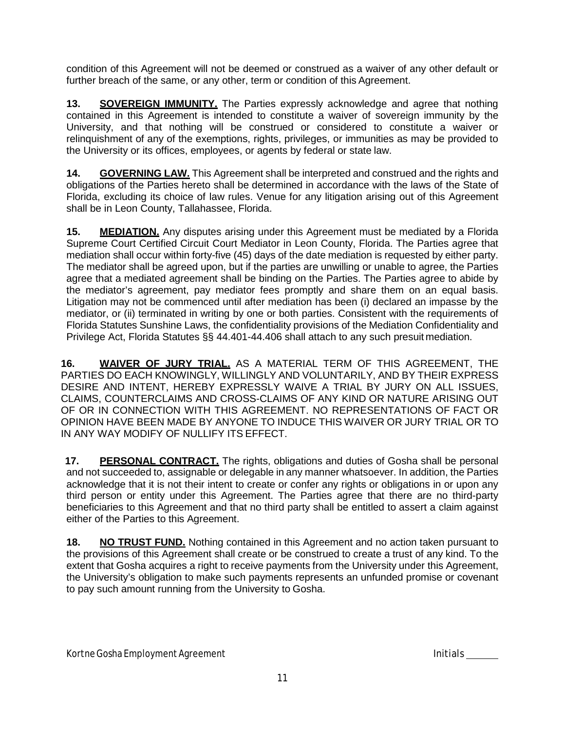condition of this Agreement will not be deemed or construed as a waiver of any other default or further breach of the same, or any other, term or condition of this Agreement.

**13. SOVEREIGN IMMUNITY.** The Parties expressly acknowledge and agree that nothing contained in this Agreement is intended to constitute a waiver of sovereign immunity by the University, and that nothing will be construed or considered to constitute a waiver or relinquishment of any of the exemptions, rights, privileges, or immunities as may be provided to the University or its offices, employees, or agents by federal or state law.

**14. GOVERNING LAW.** This Agreement shall be interpreted and construed and the rights and obligations of the Parties hereto shall be determined in accordance with the laws of the State of Florida, excluding its choice of law rules. Venue for any litigation arising out of this Agreement shall be in Leon County, Tallahassee, Florida.

**15. MEDIATION.** Any disputes arising under this Agreement must be mediated by a Florida Supreme Court Certified Circuit Court Mediator in Leon County, Florida. The Parties agree that mediation shall occur within forty-five (45) days of the date mediation is requested by either party. The mediator shall be agreed upon, but if the parties are unwilling or unable to agree, the Parties agree that a mediated agreement shall be binding on the Parties. The Parties agree to abide by the mediator's agreement, pay mediator fees promptly and share them on an equal basis. Litigation may not be commenced until after mediation has been (i) declared an impasse by the mediator, or (ii) terminated in writing by one or both parties. Consistent with the requirements of Florida Statutes Sunshine Laws, the confidentiality provisions of the Mediation Confidentiality and Privilege Act, Florida Statutes §§ 44.401-44.406 shall attach to any such presuit mediation.

**16. WAIVER OF JURY TRIAL.** AS A MATERIAL TERM OF THIS AGREEMENT, THE PARTIES DO EACH KNOWINGLY, WILLINGLY AND VOLUNTARILY, AND BY THEIR EXPRESS DESIRE AND INTENT, HEREBY EXPRESSLY WAIVE A TRIAL BY JURY ON ALL ISSUES, CLAIMS, COUNTERCLAIMS AND CROSS-CLAIMS OF ANY KIND OR NATURE ARISING OUT OF OR IN CONNECTION WITH THIS AGREEMENT. NO REPRESENTATIONS OF FACT OR OPINION HAVE BEEN MADE BY ANYONE TO INDUCE THIS WAIVER OR JURY TRIAL OR TO IN ANY WAY MODIFY OF NULLIFY ITS EFFECT.

**17. PERSONAL CONTRACT.** The rights, obligations and duties of Gosha shall be personal and not succeeded to, assignable or delegable in any manner whatsoever. In addition, the Parties acknowledge that it is not their intent to create or confer any rights or obligations in or upon any third person or entity under this Agreement. The Parties agree that there are no third-party beneficiaries to this Agreement and that no third party shall be entitled to assert a claim against either of the Parties to this Agreement.

**18. NO TRUST FUND.** Nothing contained in this Agreement and no action taken pursuant to the provisions of this Agreement shall create or be construed to create a trust of any kind. To the extent that Gosha acquires a right to receive payments from the University under this Agreement, the University's obligation to make such payments represents an unfunded promise or covenant to pay such amount running from the University to Gosha.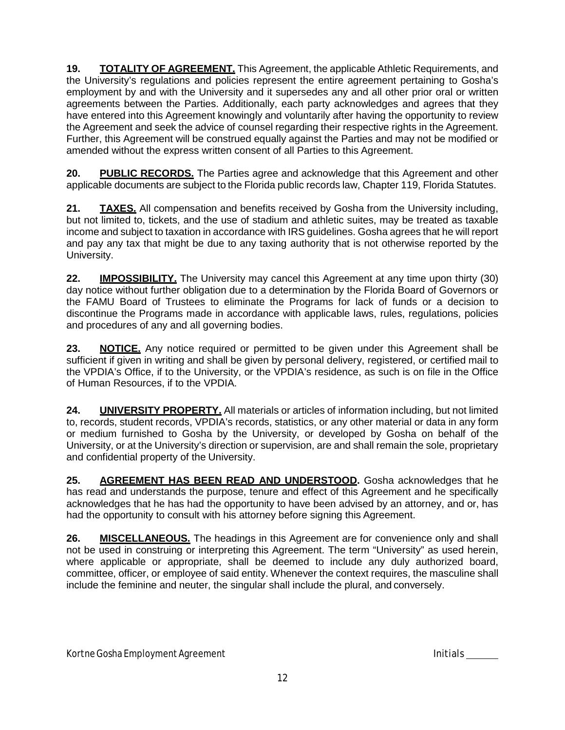**19. TOTALITY OF AGREEMENT.** This Agreement, the applicable Athletic Requirements, and the University's regulations and policies represent the entire agreement pertaining to Gosha's employment by and with the University and it supersedes any and all other prior oral or written agreements between the Parties. Additionally, each party acknowledges and agrees that they have entered into this Agreement knowingly and voluntarily after having the opportunity to review the Agreement and seek the advice of counsel regarding their respective rights in the Agreement. Further, this Agreement will be construed equally against the Parties and may not be modified or amended without the express written consent of all Parties to this Agreement.

**20. PUBLIC RECORDS.** The Parties agree and acknowledge that this Agreement and other applicable documents are subject to the Florida public records law, Chapter 119, Florida Statutes.

**21. TAXES.** All compensation and benefits received by Gosha from the University including, but not limited to, tickets, and the use of stadium and athletic suites, may be treated as taxable income and subject to taxation in accordance with IRS guidelines. Gosha agrees that he will report and pay any tax that might be due to any taxing authority that is not otherwise reported by the University.

**22. IMPOSSIBILITY.** The University may cancel this Agreement at any time upon thirty (30) day notice without further obligation due to a determination by the Florida Board of Governors or the FAMU Board of Trustees to eliminate the Programs for lack of funds or a decision to discontinue the Programs made in accordance with applicable laws, rules, regulations, policies and procedures of any and all governing bodies.

**23. NOTICE.** Any notice required or permitted to be given under this Agreement shall be sufficient if given in writing and shall be given by personal delivery, registered, or certified mail to the VPDIA's Office, if to the University, or the VPDIA's residence, as such is on file in the Office of Human Resources, if to the VPDIA.

**24. UNIVERSITY PROPERTY.** All materials or articles of information including, but not limited to, records, student records, VPDIA's records, statistics, or any other material or data in any form or medium furnished to Gosha by the University, or developed by Gosha on behalf of the University, or at the University's direction or supervision, are and shall remain the sole, proprietary and confidential property of the University.

**25. AGREEMENT HAS BEEN READ AND UNDERSTOOD.** Gosha acknowledges that he has read and understands the purpose, tenure and effect of this Agreement and he specifically acknowledges that he has had the opportunity to have been advised by an attorney, and or, has had the opportunity to consult with his attorney before signing this Agreement.

**26. MISCELLANEOUS.** The headings in this Agreement are for convenience only and shall not be used in construing or interpreting this Agreement. The term "University" as used herein, where applicable or appropriate, shall be deemed to include any duly authorized board, committee, officer, or employee of said entity. Whenever the context requires, the masculine shall include the feminine and neuter, the singular shall include the plural, and conversely.